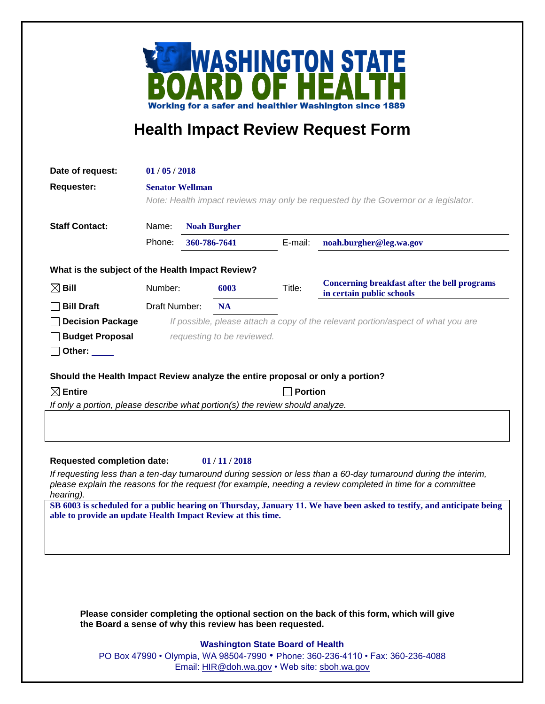

## **Health Impact Review Request Form**

| Date of request:                                                                                                                                      | 01/05/2018                                                                         |              |                     |         |                                                                                  |
|-------------------------------------------------------------------------------------------------------------------------------------------------------|------------------------------------------------------------------------------------|--------------|---------------------|---------|----------------------------------------------------------------------------------|
| <b>Requester:</b>                                                                                                                                     | <b>Senator Wellman</b>                                                             |              |                     |         |                                                                                  |
|                                                                                                                                                       | Note: Health impact reviews may only be requested by the Governor or a legislator. |              |                     |         |                                                                                  |
|                                                                                                                                                       |                                                                                    |              |                     |         |                                                                                  |
| <b>Staff Contact:</b>                                                                                                                                 | Name:                                                                              |              | <b>Noah Burgher</b> |         |                                                                                  |
|                                                                                                                                                       | Phone:                                                                             | 360-786-7641 |                     | E-mail: | noah.burgher@leg.wa.gov                                                          |
| What is the subject of the Health Impact Review?                                                                                                      |                                                                                    |              |                     |         |                                                                                  |
| $\boxtimes$ Bill                                                                                                                                      | Number:                                                                            |              | 6003                | Title:  | <b>Concerning breakfast after the bell programs</b><br>in certain public schools |
| <b>Bill Draft</b>                                                                                                                                     | Draft Number:                                                                      |              | <b>NA</b>           |         |                                                                                  |
| <b>Decision Package</b>                                                                                                                               | If possible, please attach a copy of the relevant portion/aspect of what you are   |              |                     |         |                                                                                  |
| <b>Budget Proposal</b>                                                                                                                                | requesting to be reviewed.                                                         |              |                     |         |                                                                                  |
| Other: $\_\_$                                                                                                                                         |                                                                                    |              |                     |         |                                                                                  |
| Should the Health Impact Review analyze the entire proposal or only a portion?                                                                        |                                                                                    |              |                     |         |                                                                                  |
| $\boxtimes$ Entire<br><b>Portion</b>                                                                                                                  |                                                                                    |              |                     |         |                                                                                  |
| If only a portion, please describe what portion(s) the review should analyze.                                                                         |                                                                                    |              |                     |         |                                                                                  |
|                                                                                                                                                       |                                                                                    |              |                     |         |                                                                                  |
|                                                                                                                                                       |                                                                                    |              |                     |         |                                                                                  |
| <b>Requested completion date:</b><br>01/11/2018                                                                                                       |                                                                                    |              |                     |         |                                                                                  |
| If requesting less than a ten-day turnaround during session or less than a 60-day turnaround during the interim,                                      |                                                                                    |              |                     |         |                                                                                  |
| please explain the reasons for the request (for example, needing a review completed in time for a committee                                           |                                                                                    |              |                     |         |                                                                                  |
| hearing).<br>SB 6003 is scheduled for a public hearing on Thursday, January 11. We have been asked to testify, and anticipate being                   |                                                                                    |              |                     |         |                                                                                  |
| able to provide an update Health Impact Review at this time.                                                                                          |                                                                                    |              |                     |         |                                                                                  |
|                                                                                                                                                       |                                                                                    |              |                     |         |                                                                                  |
|                                                                                                                                                       |                                                                                    |              |                     |         |                                                                                  |
|                                                                                                                                                       |                                                                                    |              |                     |         |                                                                                  |
|                                                                                                                                                       |                                                                                    |              |                     |         |                                                                                  |
|                                                                                                                                                       |                                                                                    |              |                     |         |                                                                                  |
| Please consider completing the optional section on the back of this form, which will give<br>the Board a sense of why this review has been requested. |                                                                                    |              |                     |         |                                                                                  |
| <b>Washington State Board of Health</b>                                                                                                               |                                                                                    |              |                     |         |                                                                                  |

PO Box 47990 • Olympia, WA 98504-7990 • Phone: 360-236-4110 • Fax: 360-236-4088 Email: [HIR@doh.wa.gov](mailto:HIR@doh.wa.gov) • Web site: [sboh.wa.gov](http://www.sboh.wa.gov/hdcouncil/)